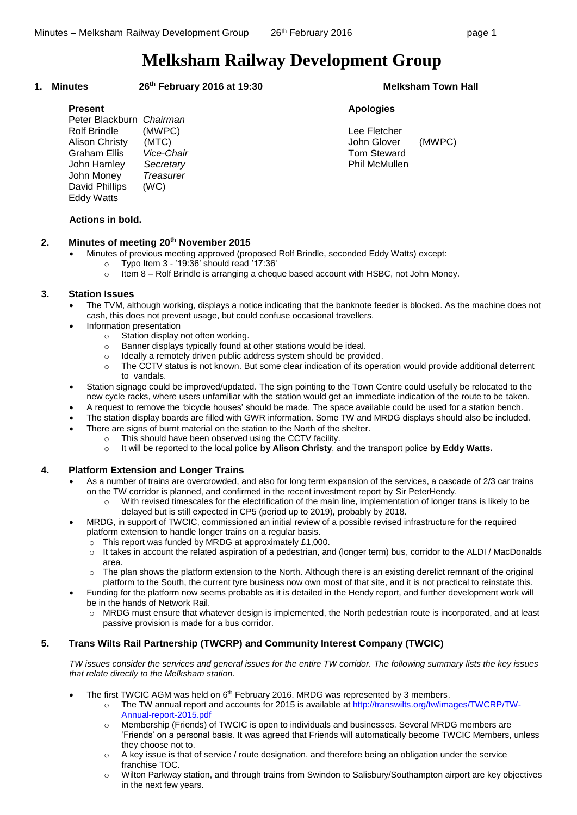# **Melksham Railway Development Group**

### **1. Minutes 26**

#### **th February 2016 at 19:30 Melksham Town Hall**

| Peter Blackburn<br><b>Rolf Brindle</b><br>Alison Christy<br>Graham Ellis<br>John Hamley<br>John Money<br>David Phillips<br><b>Eddy Watts</b> | Chairman<br>(MWPC)<br>(MTC)<br>Vice-Chair<br>Secretary<br><b>Treasurer</b><br>(WC) |
|----------------------------------------------------------------------------------------------------------------------------------------------|------------------------------------------------------------------------------------|
|----------------------------------------------------------------------------------------------------------------------------------------------|------------------------------------------------------------------------------------|

# **Present Apologies**

Lee Fletcher John Glover (MWPC) **Tom Steward Phil McMullen** 

# **Actions in bold.**

#### **2. Minutes of meeting 20 th November 2015**

- Minutes of previous meeting approved (proposed Rolf Brindle, seconded Eddy Watts) except:
	- o Typo Item 3 '19:36' should read '17:36'
		- $\circ$  Item 8 Rolf Brindle is arranging a cheque based account with HSBC, not John Money.

# **3. Station Issues**

- The TVM, although working, displays a notice indicating that the banknote feeder is blocked. As the machine does not cash, this does not prevent usage, but could confuse occasional travellers.
- Information presentation
	- o Station display not often working.
	- o Banner displays typically found at other stations would be ideal.
	- $\circ$  Ideally a remotely driven public address system should be provided.
	- o The CCTV status is not known. But some clear indication of its operation would provide additional deterrent to vandals.
- Station signage could be improved/updated. The sign pointing to the Town Centre could usefully be relocated to the new cycle racks, where users unfamiliar with the station would get an immediate indication of the route to be taken.
- A request to remove the 'bicycle houses' should be made. The space available could be used for a station bench.
- The station display boards are filled with GWR information. Some TW and MRDG displays should also be included.
- There are signs of burnt material on the station to the North of the shelter.
	- o This should have been observed using the CCTV facility.
		- o It will be reported to the local police **by Alison Christy**, and the transport police **by Eddy Watts.**

### **4. Platform Extension and Longer Trains**

- As a number of trains are overcrowded, and also for long term expansion of the services, a cascade of 2/3 car trains on the TW corridor is planned, and confirmed in the recent investment report by Sir PeterHendy.
	- o With revised timescales for the electrification of the main line, implementation of longer trans is likely to be delayed but is still expected in CP5 (period up to 2019), probably by 2018.
- MRDG, in support of TWCIC, commissioned an initial review of a possible revised infrastructure for the required platform extension to handle longer trains on a regular basis.
	- o This report was funded by MRDG at approximately £1,000.
	- o It takes in account the related aspiration of a pedestrian, and (longer term) bus, corridor to the ALDI / MacDonalds area.
	- The plan shows the platform extension to the North. Although there is an existing derelict remnant of the original platform to the South, the current tyre business now own most of that site, and it is not practical to reinstate this.
- Funding for the platform now seems probable as it is detailed in the Hendy report, and further development work will be in the hands of Network Rail.
	- o MRDG must ensure that whatever design is implemented, the North pedestrian route is incorporated, and at least passive provision is made for a bus corridor.

# **5. Trans Wilts Rail Partnership (TWCRP) and Community Interest Company (TWCIC)**

*TW issues consider the services and general issues for the entire TW corridor. The following summary lists the key issues that relate directly to the Melksham station.*

- The first TWCIC AGM was held on 6<sup>th</sup> February 2016. MRDG was represented by 3 members.
	- o The TW annual report and accounts for 2015 is available at [http://transwilts.org/tw/images/TWCRP/TW-](http://transwilts.org/tw/images/TWCRP/TW-Annual-report-2015.pdf)[Annual-report-2015.pdf](http://transwilts.org/tw/images/TWCRP/TW-Annual-report-2015.pdf)
	- o Membership (Friends) of TWCIC is open to individuals and businesses. Several MRDG members are 'Friends' on a personal basis. It was agreed that Friends will automatically become TWCIC Members, unless they choose not to.
	- $\circ$  A key issue is that of service / route designation, and therefore being an obligation under the service franchise TOC.
	- o Wilton Parkway station, and through trains from Swindon to Salisbury/Southampton airport are key objectives in the next few years.